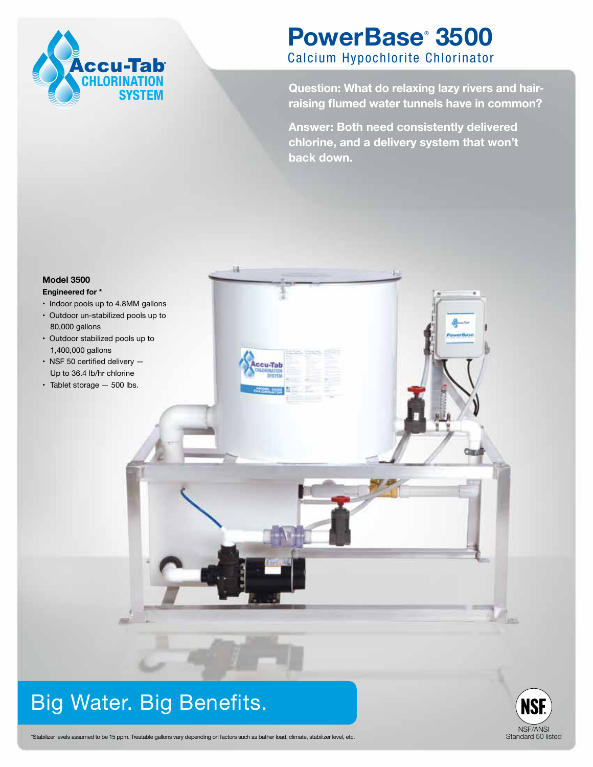

## **PowerBase**®  **3500** Calcium Hypochlorite Chlorinator

**Question: What do relaxing lazy rivers and hairraising flumed water tunnels have in common?** 

**Answer: Both need consistently delivered chlorine, and a delivery system that won't back down.** 



# Big Water. Big Benefits.



\*Stabilizer levels assumed to be 15 ppm. Treatable gallons vary depending on factors such as bather load, climate, stabilizer level, etc.